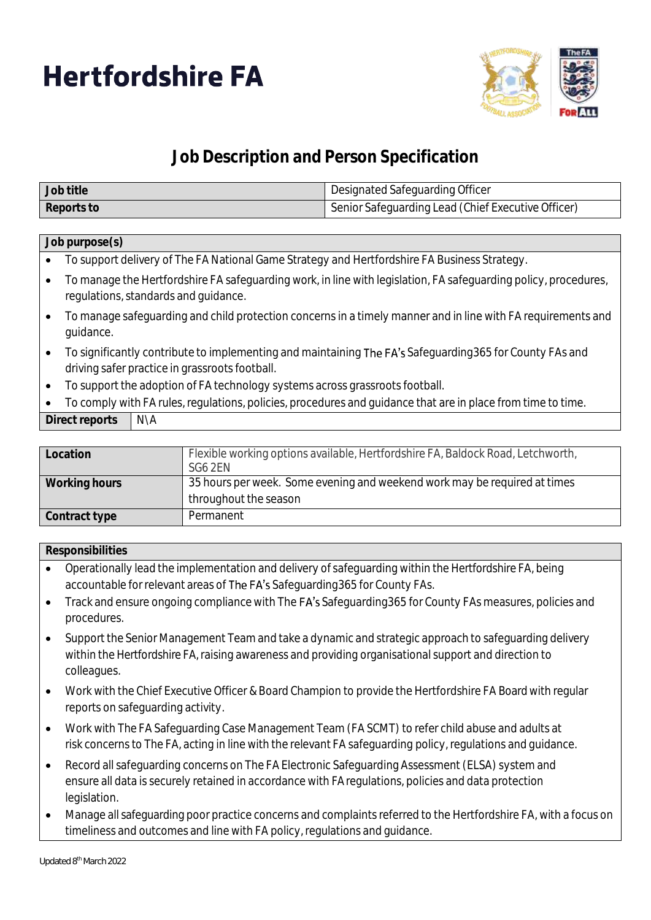



## **Job Description and Person Specification**

| Job title  | Designated Safeguarding Officer                    |
|------------|----------------------------------------------------|
| Reports to | Senior Safeguarding Lead (Chief Executive Officer) |

## **Job purpose(s)**

- To support delivery of The FA National Game Strategy and Hertfordshire FA Business Strategy.
- To manage the Hertfordshire FA safeguarding work, in line with legislation, FA safeguarding policy, procedures, regulations, standards and guidance.
- To manage safeguarding and child protection concerns in a timely manner and in line with FA requirements and guidance.
- To significantly contribute to implementing and maintaining The FA's Safeguarding 365 for County FAs and driving safer practice in grassroots football.
- To support the adoption of FA technology systems across grassroots football.
- To comply with FA rules, regulations, policies, procedures and guidance that are in place from time to time.

| Direct reports | N\A |
|----------------|-----|
|----------------|-----|

| Location      | Flexible working options available, Hertfordshire FA, Baldock Road, Letchworth,<br>SG6 2EN         |
|---------------|----------------------------------------------------------------------------------------------------|
| Working hours | 35 hours per week. Some evening and weekend work may be required at times<br>throughout the season |
| Contract type | Permanent                                                                                          |

## **Responsibilities**

- Operationally lead the implementation and delivery of safeguarding within the Hertfordshire FA, being accountable for relevant areas of The FA's Safeguarding365 for County FAs.
- Track and ensure ongoing compliance with The FA's Safeguarding365 for County FAs measures, policies and procedures.
- Support the Senior Management Team and take a dynamic and strategic approach to safeguarding delivery within the Hertfordshire FA, raising awareness and providing organisational support and direction to colleagues.
- Work with the Chief Executive Officer & Board Champion to provide the Hertfordshire FA Board with regular reports on safeguarding activity.
- Work with The FA Safeguarding Case Management Team (FA SCMT) to refer child abuse and adults at risk concerns to The FA, acting in line with the relevant FA safeguarding policy, regulations and guidance.
- Record all safeguarding concerns on The FA Electronic Safeguarding Assessment (ELSA) system and ensure all data is securely retained in accordance with FA regulations, policies and data protection legislation.
- Manage all safeguarding poor practice concerns and complaints referred to the Hertfordshire FA, with a focus on timeliness and outcomes and line with FA policy, regulations and guidance.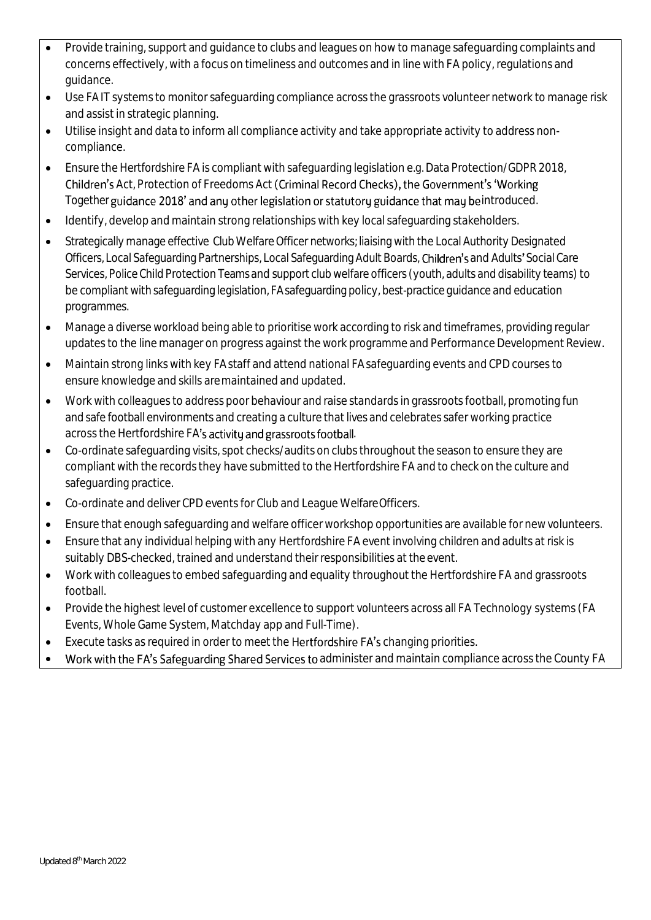- Provide training, support and guidance to clubs and leagues on how to manage safeguarding complaints and concerns effectively, with a focus on timeliness and outcomes and in line with FA policy, regulations and guidance.
- Use FA IT systems to monitor safeguarding compliance across the grassroots volunteer network to manage risk and assist in strategic planning.
- Utilise insight and data to inform all compliance activity and take appropriate activity to address noncompliance.
- Ensure the Hertfordshire FA is compliant with safeguarding legislation e.g. Data Protection/GDPR 2018, Children's Act, Protection of Freedoms Act (Criminal Record Checks), the Government's 'Working Together guidance 2018' and any other legislation or statutory guidance that may be introduced.
- Identify, develop and maintain strong relationships with key local safeguarding stakeholders.
- Strategically manage effective Club Welfare Officer networks; liaising with the Local Authority Designated Officers, Local Safeguarding Partnerships, Local Safeguarding Adult Boards, Children's and Adults' Social Care Services, Police Child Protection Teams and support club welfare officers (youth, adults and disability teams) to be compliant with safeguarding legislation, FA safeguarding policy, best-practice guidance and education programmes.
- Manage a diverse workload being able to prioritise work according to risk and timeframes, providing regular updates to the line manager on progress against the work programme and Performance Development Review.
- Maintain strong links with key FA staff and attend national FA safeguarding events and CPD courses to ensure knowledge and skills aremaintained and updated.
- Work with colleagues to address poor behaviour and raise standards in grassroots football, promoting fun and safe football environments and creating a culture that lives and celebrates safer working practice across the Hertfordshire FA's activity and grassroots football.
- Co-ordinate safeguarding visits, spot checks/audits on clubs throughout the season to ensure they are compliant with the records they have submitted to the Hertfordshire FA and to check on the culture and safeguarding practice.
- Co-ordinate and deliver CPD events for Club and League WelfareOfficers.
- Ensure that enough safeguarding and welfare officer workshop opportunities are available for newvolunteers.
- Ensure that any individual helping with any Hertfordshire FA event involving children and adults at risk is suitably DBS-checked, trained and understand their responsibilities at the event.
- Work with colleagues to embed safeguarding and equality throughout the Hertfordshire FA and grassroots football.
- Provide the highest level of customer excellence to support volunteers across all FA Technology systems (FA Events, Whole Game System, Matchday app and Full-Time).
- Execute tasks as required in order to meet the Hertfordshire FA's changing priorities.
- Work with the FA's Safeguarding Shared Services to administer and maintain compliance across the County FA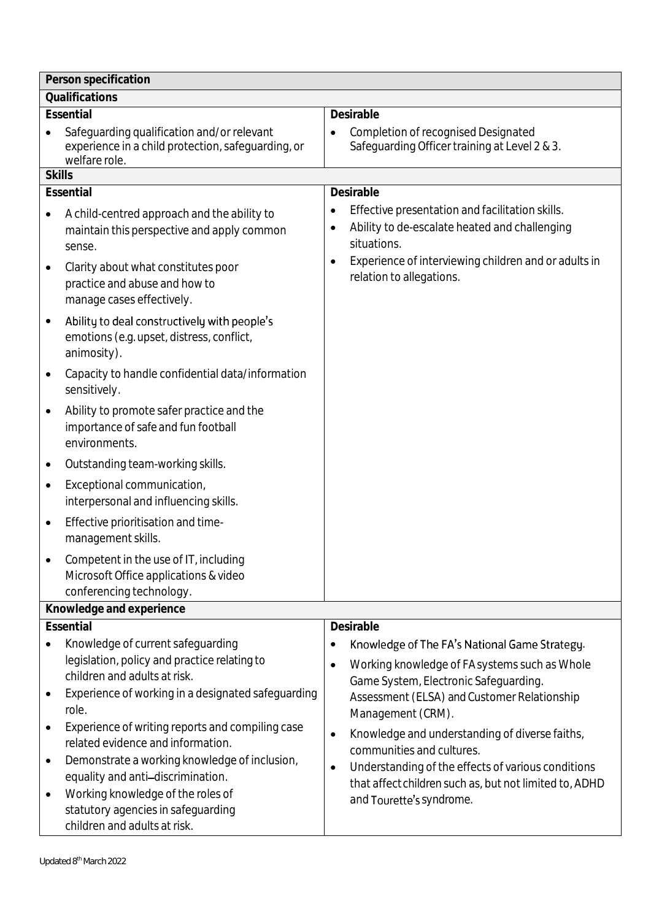| Person specification |                                                                                                                   |                                                                                                                                                                                                                |
|----------------------|-------------------------------------------------------------------------------------------------------------------|----------------------------------------------------------------------------------------------------------------------------------------------------------------------------------------------------------------|
| Qualifications       |                                                                                                                   |                                                                                                                                                                                                                |
|                      | Essential                                                                                                         | Desirable                                                                                                                                                                                                      |
|                      | Safeguarding qualification and/or relevant<br>experience in a child protection, safeguarding, or<br>welfare role. | <b>Completion of recognised Designated</b><br>Safequarding Officer training at Level 2 & 3.                                                                                                                    |
| <b>Skills</b>        |                                                                                                                   |                                                                                                                                                                                                                |
|                      | Essential                                                                                                         | Desirable                                                                                                                                                                                                      |
|                      | A child-centred approach and the ability to<br>maintain this perspective and apply common<br>sense.               | Effective presentation and facilitation skills.<br>$\bullet$<br>Ability to de-escalate heated and challenging<br>$\bullet$<br>situations.<br>Experience of interviewing children and or adults in<br>$\bullet$ |
|                      | Clarity about what constitutes poor<br>practice and abuse and how to<br>manage cases effectively.                 | relation to allegations.                                                                                                                                                                                       |
| $\bullet$            | Ability to deal constructively with people's<br>emotions (e.g. upset, distress, conflict,<br>animosity).          |                                                                                                                                                                                                                |
| $\bullet$            | Capacity to handle confidential data/information<br>sensitively.                                                  |                                                                                                                                                                                                                |
| $\bullet$            | Ability to promote safer practice and the<br>importance of safe and fun football<br>environments.                 |                                                                                                                                                                                                                |
| ٠                    | Outstanding team-working skills.                                                                                  |                                                                                                                                                                                                                |
| $\bullet$            | Exceptional communication,<br>interpersonal and influencing skills.                                               |                                                                                                                                                                                                                |
| $\bullet$            | Effective prioritisation and time-<br>management skills.                                                          |                                                                                                                                                                                                                |
|                      | Competent in the use of IT, including<br>Microsoft Office applications & video<br>conferencing technology.        |                                                                                                                                                                                                                |
|                      | Knowledge and experience                                                                                          |                                                                                                                                                                                                                |
|                      | Essential                                                                                                         | Desirable                                                                                                                                                                                                      |
|                      | Knowledge of current safeguarding                                                                                 | Knowledge of The FA's National Game Strategy.                                                                                                                                                                  |
|                      | legislation, policy and practice relating to                                                                      | Working knowledge of FA systems such as Whole<br>$\bullet$                                                                                                                                                     |
|                      | children and adults at risk.                                                                                      | Game System, Electronic Safeguarding.                                                                                                                                                                          |
|                      | Experience of working in a designated safeguarding<br>role.                                                       | Assessment (ELSA) and Customer Relationship<br>Management (CRM).                                                                                                                                               |
| $\bullet$            | Experience of writing reports and compiling case                                                                  | Knowledge and understanding of diverse faiths,<br>$\bullet$                                                                                                                                                    |
|                      | related evidence and information.                                                                                 | communities and cultures.                                                                                                                                                                                      |
| $\bullet$            | Demonstrate a working knowledge of inclusion,<br>equality and anti-discrimination.                                | Understanding of the effects of various conditions<br>$\bullet$                                                                                                                                                |
| $\bullet$            | Working knowledge of the roles of                                                                                 | that affect children such as, but not limited to, ADHD                                                                                                                                                         |
|                      | statutory agencies in safeguarding                                                                                | and Tourette's syndrome.                                                                                                                                                                                       |
|                      | children and adults at risk.                                                                                      |                                                                                                                                                                                                                |